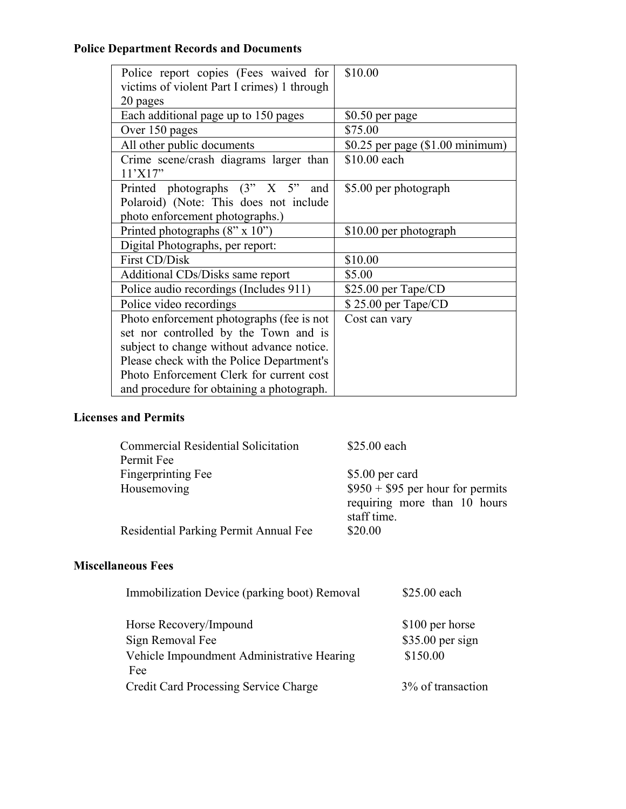## **Police Department Records and Documents**

| Police report copies (Fees waived for             | \$10.00                            |
|---------------------------------------------------|------------------------------------|
| victims of violent Part I crimes) 1 through       |                                    |
| 20 pages                                          |                                    |
| Each additional page up to 150 pages              | \$0.50 per page                    |
| Over 150 pages                                    | \$75.00                            |
| All other public documents                        | \$0.25 per page $(\$1.00$ minimum) |
| Crime scene/crash diagrams larger than<br>11'X17" | \$10.00 each                       |
| Printed photographs (3" X 5"<br>and               | \$5.00 per photograph              |
| Polaroid) (Note: This does not include            |                                    |
| photo enforcement photographs.)                   |                                    |
| Printed photographs (8" x 10")                    | \$10.00 per photograph             |
| Digital Photographs, per report:                  |                                    |
| First CD/Disk                                     | \$10.00                            |
| Additional CDs/Disks same report                  | \$5.00                             |
| Police audio recordings (Includes 911)            | $$25.00$ per Tape/CD               |
| Police video recordings                           | \$25.00 per Tape/CD                |
| Photo enforcement photographs (fee is not         | Cost can vary                      |
| set nor controlled by the Town and is             |                                    |
| subject to change without advance notice.         |                                    |
| Please check with the Police Department's         |                                    |
| Photo Enforcement Clerk for current cost          |                                    |
| and procedure for obtaining a photograph.         |                                    |

## **Licenses and Permits**

| \$25.00 each                      |
|-----------------------------------|
|                                   |
| \$5.00 per card                   |
| $$950 + $95$ per hour for permits |
| requiring more than 10 hours      |
| staff time.                       |
| \$20.00                           |
|                                   |

## **Miscellaneous Fees**

| Immobilization Device (parking boot) Removal      | \$25.00 each      |
|---------------------------------------------------|-------------------|
| Horse Recovery/Impound                            | \$100 per horse   |
| Sign Removal Fee                                  | $$35.00$ per sign |
| Vehicle Impoundment Administrative Hearing<br>Fee | \$150.00          |
| Credit Card Processing Service Charge             | 3% of transaction |